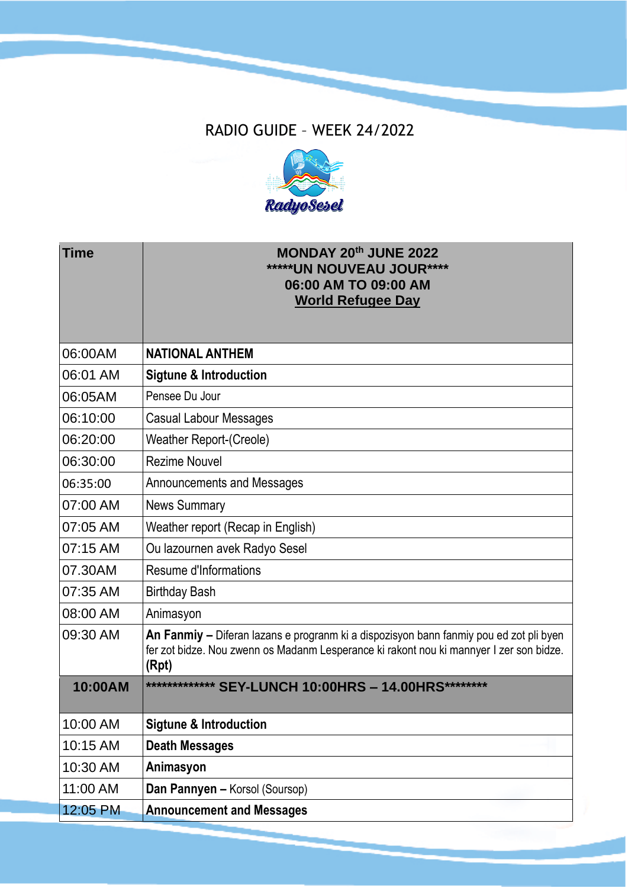## RADIO GUIDE – WEEK 24/2022



| Time     | MONDAY 20th JUNE 2022<br>*****UN NOUVEAU JOUR****<br>06:00 AM TO 09:00 AM<br><b>World Refugee Day</b>                                                                                      |
|----------|--------------------------------------------------------------------------------------------------------------------------------------------------------------------------------------------|
| 06:00AM  | <b>NATIONAL ANTHEM</b>                                                                                                                                                                     |
| 06:01 AM | <b>Sigtune &amp; Introduction</b>                                                                                                                                                          |
| 06:05AM  | Pensee Du Jour                                                                                                                                                                             |
| 06:10:00 | <b>Casual Labour Messages</b>                                                                                                                                                              |
| 06:20:00 | <b>Weather Report-(Creole)</b>                                                                                                                                                             |
| 06:30:00 | <b>Rezime Nouvel</b>                                                                                                                                                                       |
| 06:35:00 | <b>Announcements and Messages</b>                                                                                                                                                          |
| 07:00 AM | <b>News Summary</b>                                                                                                                                                                        |
| 07:05 AM | Weather report (Recap in English)                                                                                                                                                          |
| 07:15 AM | Ou lazournen avek Radyo Sesel                                                                                                                                                              |
| 07.30AM  | Resume d'Informations                                                                                                                                                                      |
| 07:35 AM | <b>Birthday Bash</b>                                                                                                                                                                       |
| 08:00 AM | Animasyon                                                                                                                                                                                  |
| 09:30 AM | An Fanmiy - Diferan lazans e progranm ki a dispozisyon bann fanmiy pou ed zot pli byen<br>fer zot bidze. Nou zwenn os Madanm Lesperance ki rakont nou ki mannyer I zer son bidze.<br>(Rpt) |
| 10:00AM  | *************<br><b>SEY-LUNCH 10:00HRS - 14.00HRS*********</b>                                                                                                                             |
| 10:00 AM | <b>Sigtune &amp; Introduction</b>                                                                                                                                                          |
| 10:15 AM | <b>Death Messages</b>                                                                                                                                                                      |
| 10:30 AM | Animasyon                                                                                                                                                                                  |
| 11:00 AM | Dan Pannyen - Korsol (Soursop)                                                                                                                                                             |
| 12:05 PM | <b>Announcement and Messages</b>                                                                                                                                                           |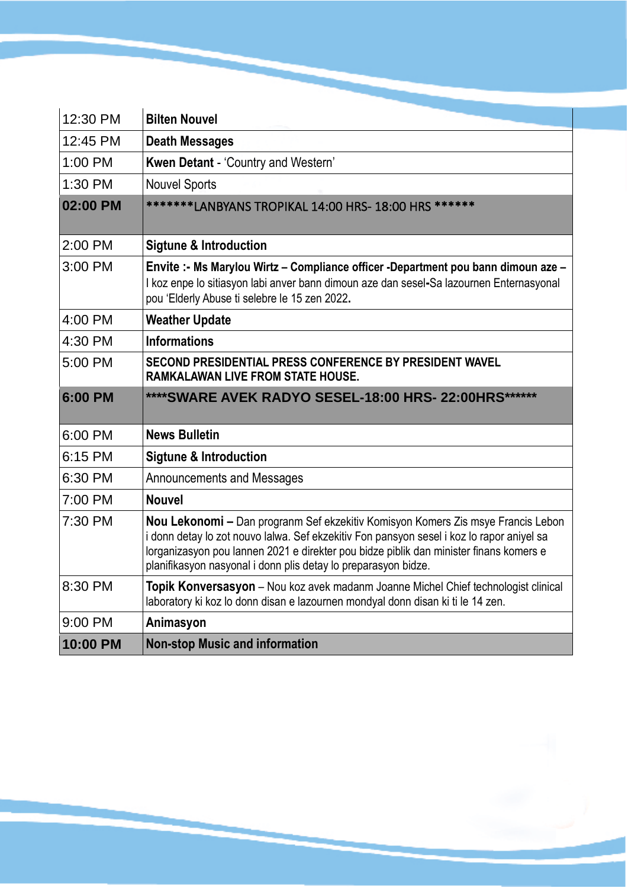| 12:30 PM | <b>Bilten Nouvel</b>                                                                                                                                                                                                                                                                                                                      |
|----------|-------------------------------------------------------------------------------------------------------------------------------------------------------------------------------------------------------------------------------------------------------------------------------------------------------------------------------------------|
| 12:45 PM | <b>Death Messages</b>                                                                                                                                                                                                                                                                                                                     |
| 1:00 PM  | Kwen Detant - 'Country and Western'                                                                                                                                                                                                                                                                                                       |
| 1:30 PM  | <b>Nouvel Sports</b>                                                                                                                                                                                                                                                                                                                      |
| 02:00 PM | *******LANBYANS TROPIKAL 14:00 HRS- 18:00 HRS ******                                                                                                                                                                                                                                                                                      |
| 2:00 PM  | <b>Sigtune &amp; Introduction</b>                                                                                                                                                                                                                                                                                                         |
| 3:00 PM  | Envite :- Ms Marylou Wirtz - Compliance officer -Department pou bann dimoun aze -<br>I koz enpe lo sitiasyon labi anver bann dimoun aze dan sesel-Sa lazournen Enternasyonal<br>pou 'Elderly Abuse ti selebre le 15 zen 2022.                                                                                                             |
| 4:00 PM  | <b>Weather Update</b>                                                                                                                                                                                                                                                                                                                     |
| 4:30 PM  | <b>Informations</b>                                                                                                                                                                                                                                                                                                                       |
| 5:00 PM  | SECOND PRESIDENTIAL PRESS CONFERENCE BY PRESIDENT WAVEL<br><b>RAMKALAWAN LIVE FROM STATE HOUSE.</b>                                                                                                                                                                                                                                       |
|          |                                                                                                                                                                                                                                                                                                                                           |
| 6:00 PM  | ****SWARE AVEK RADYO SESEL-18:00 HRS- 22:00HRS******                                                                                                                                                                                                                                                                                      |
| 6:00 PM  | <b>News Bulletin</b>                                                                                                                                                                                                                                                                                                                      |
| 6:15 PM  | <b>Sigtune &amp; Introduction</b>                                                                                                                                                                                                                                                                                                         |
| 6:30 PM  | <b>Announcements and Messages</b>                                                                                                                                                                                                                                                                                                         |
| 7:00 PM  | <b>Nouvel</b>                                                                                                                                                                                                                                                                                                                             |
| 7:30 PM  | Nou Lekonomi - Dan progranm Sef ekzekitiv Komisyon Komers Zis msye Francis Lebon<br>i donn detay lo zot nouvo lalwa. Sef ekzekitiv Fon pansyon sesel i koz lo rapor aniyel sa<br>lorganizasyon pou lannen 2021 e direkter pou bidze piblik dan minister finans komers e<br>planifikasyon nasyonal i donn plis detay lo preparasyon bidze. |
| 8:30 PM  | Topik Konversasyon - Nou koz avek madanm Joanne Michel Chief technologist clinical<br>laboratory ki koz lo donn disan e lazournen mondyal donn disan ki ti le 14 zen.                                                                                                                                                                     |
| 9:00 PM  | Animasyon                                                                                                                                                                                                                                                                                                                                 |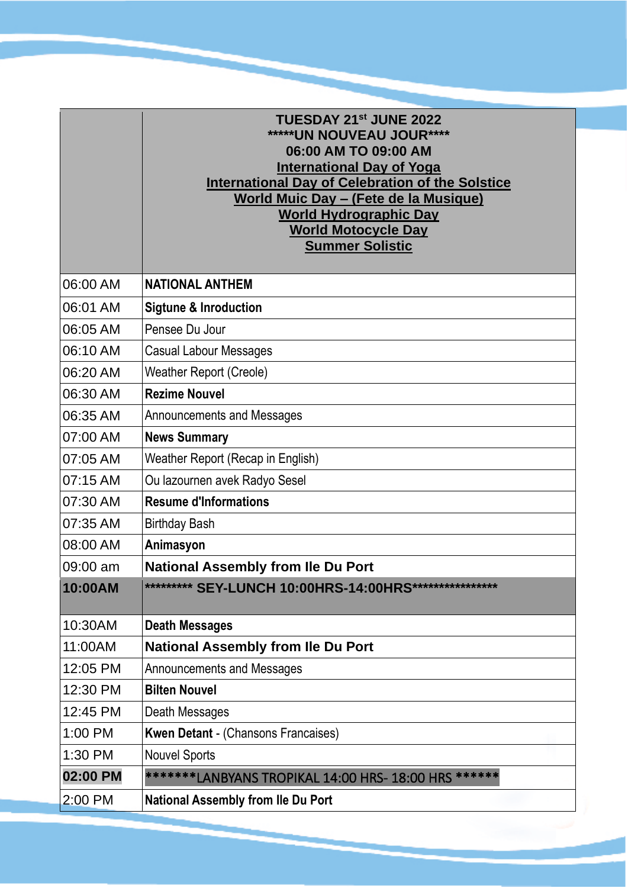|          | <b>TUESDAY 21st JUNE 2022</b><br>*****UN NOUVEAU JOUR****<br>06:00 AM TO 09:00 AM<br><b>International Day of Yoga</b><br><b>International Day of Celebration of the Solstice</b><br><u> World Muic Day – (Fete de la Musique)</u><br><b>World Hydrographic Day</b><br><b>World Motocycle Day</b><br><b>Summer Solistic</b> |
|----------|----------------------------------------------------------------------------------------------------------------------------------------------------------------------------------------------------------------------------------------------------------------------------------------------------------------------------|
| 06:00 AM | <b>NATIONAL ANTHEM</b>                                                                                                                                                                                                                                                                                                     |
| 06:01 AM | <b>Sigtune &amp; Inroduction</b>                                                                                                                                                                                                                                                                                           |
| 06:05 AM | Pensee Du Jour                                                                                                                                                                                                                                                                                                             |
| 06:10 AM | <b>Casual Labour Messages</b>                                                                                                                                                                                                                                                                                              |
| 06:20 AM | <b>Weather Report (Creole)</b>                                                                                                                                                                                                                                                                                             |
| 06:30 AM | <b>Rezime Nouvel</b>                                                                                                                                                                                                                                                                                                       |
| 06:35 AM | Announcements and Messages                                                                                                                                                                                                                                                                                                 |
| 07:00 AM | <b>News Summary</b>                                                                                                                                                                                                                                                                                                        |
| 07:05 AM | Weather Report (Recap in English)                                                                                                                                                                                                                                                                                          |
| 07:15 AM | Ou lazournen avek Radyo Sesel                                                                                                                                                                                                                                                                                              |
| 07:30 AM | <b>Resume d'Informations</b>                                                                                                                                                                                                                                                                                               |
| 07:35 AM | <b>Birthday Bash</b>                                                                                                                                                                                                                                                                                                       |
| 08:00 AM | Animasyon                                                                                                                                                                                                                                                                                                                  |
| 09:00 am | <b>National Assembly from Ile Du Port</b>                                                                                                                                                                                                                                                                                  |
| 10:00AM  | ********** SEY-LUNCH 10:00HRS-14:00HRS*****************                                                                                                                                                                                                                                                                    |
| 10:30AM  | <b>Death Messages</b>                                                                                                                                                                                                                                                                                                      |
| 11:00AM  | <b>National Assembly from Ile Du Port</b>                                                                                                                                                                                                                                                                                  |
| 12:05 PM | Announcements and Messages                                                                                                                                                                                                                                                                                                 |
| 12:30 PM | <b>Bilten Nouvel</b>                                                                                                                                                                                                                                                                                                       |
| 12:45 PM | Death Messages                                                                                                                                                                                                                                                                                                             |
| 1:00 PM  | <b>Kwen Detant - (Chansons Francaises)</b>                                                                                                                                                                                                                                                                                 |
| 1:30 PM  | <b>Nouvel Sports</b>                                                                                                                                                                                                                                                                                                       |
| 02:00 PM | ********LANBYANS TROPIKAL 14:00 HRS- 18:00 HRS *******                                                                                                                                                                                                                                                                     |
| 2:00 PM  | <b>National Assembly from Ile Du Port</b>                                                                                                                                                                                                                                                                                  |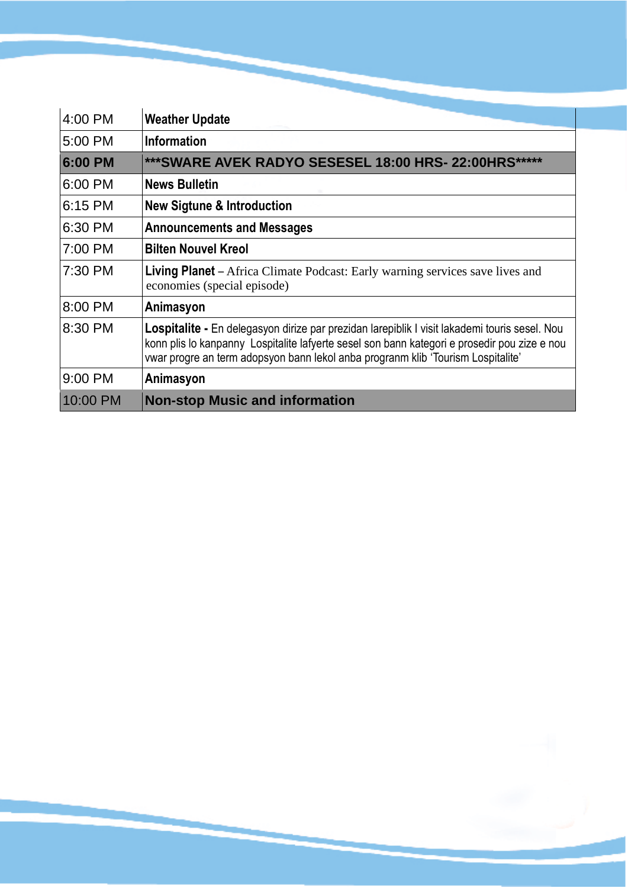| 4:00 PM  | <b>Weather Update</b>                                                                                                                                                                                                                                                             |
|----------|-----------------------------------------------------------------------------------------------------------------------------------------------------------------------------------------------------------------------------------------------------------------------------------|
| 5:00 PM  | Information                                                                                                                                                                                                                                                                       |
| 6:00 PM  | *** SWARE AVEK RADYO SESESEL 18:00 HRS- 22:00HRS*****                                                                                                                                                                                                                             |
| 6:00 PM  | <b>News Bulletin</b>                                                                                                                                                                                                                                                              |
| 6:15 PM  | <b>New Sigtune &amp; Introduction</b>                                                                                                                                                                                                                                             |
| 6:30 PM  | <b>Announcements and Messages</b>                                                                                                                                                                                                                                                 |
| 7:00 PM  | <b>Bilten Nouvel Kreol</b>                                                                                                                                                                                                                                                        |
| 7:30 PM  | <b>Living Planet</b> – Africa Climate Podcast: Early warning services save lives and<br>economies (special episode)                                                                                                                                                               |
| 8:00 PM  | Animasyon                                                                                                                                                                                                                                                                         |
| 8:30 PM  | Lospitalite - En delegasyon dirize par prezidan larepiblik I visit lakademi touris sesel. Nou<br>konn plis lo kanpanny Lospitalite lafyerte sesel son bann kategori e prosedir pou zize e nou<br>vwar progre an term adopsyon bann lekol anba progranm klib 'Tourism Lospitalite' |
| 9:00 PM  | Animasyon                                                                                                                                                                                                                                                                         |
| 10:00 PM | <b>Non-stop Music and information</b>                                                                                                                                                                                                                                             |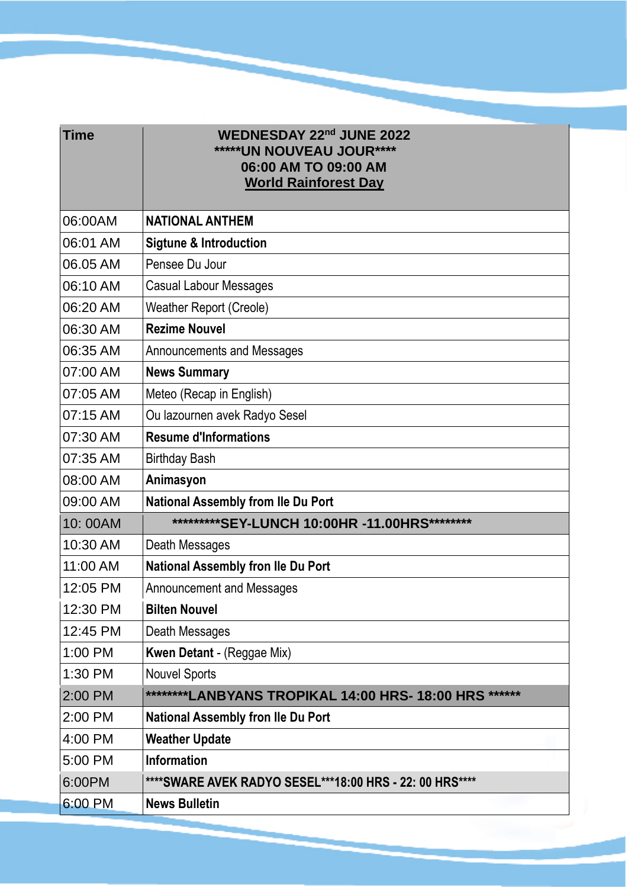| <b>Time</b> | <b>WEDNESDAY 22nd JUNE 2022</b><br>*****UN NOUVEAU JOUR****<br>06:00 AM TO 09:00 AM<br><b>World Rainforest Day</b> |
|-------------|--------------------------------------------------------------------------------------------------------------------|
| 06:00AM     | <b>NATIONAL ANTHEM</b>                                                                                             |
| 06:01 AM    | <b>Sigtune &amp; Introduction</b>                                                                                  |
| 06.05 AM    | Pensee Du Jour                                                                                                     |
| 06:10 AM    | <b>Casual Labour Messages</b>                                                                                      |
| 06:20 AM    | <b>Weather Report (Creole)</b>                                                                                     |
| 06:30 AM    | <b>Rezime Nouvel</b>                                                                                               |
| 06:35 AM    | Announcements and Messages                                                                                         |
| 07:00 AM    | <b>News Summary</b>                                                                                                |
| 07:05 AM    | Meteo (Recap in English)                                                                                           |
| 07:15 AM    | Ou lazournen avek Radyo Sesel                                                                                      |
| 07:30 AM    | <b>Resume d'Informations</b>                                                                                       |
| 07:35 AM    | <b>Birthday Bash</b>                                                                                               |
| 08:00 AM    | Animasyon                                                                                                          |
| 09:00 AM    | <b>National Assembly from Ile Du Port</b>                                                                          |
| 10:00AM     | *********SEY-LUNCH 10:00HR -11.00HRS*********                                                                      |
| 10:30 AM    | Death Messages                                                                                                     |
| 11:00 AM    | National Assembly fron Ile Du Port                                                                                 |
| 12:05 PM    | <b>Announcement and Messages</b>                                                                                   |
| 12:30 PM    | <b>Bilten Nouvel</b>                                                                                               |
| 12:45 PM    | Death Messages                                                                                                     |
| 1:00 PM     | <b>Kwen Detant - (Reggae Mix)</b>                                                                                  |
| 1:30 PM     | <b>Nouvel Sports</b>                                                                                               |
| 2:00 PM     | ********LANBYANS TROPIKAL 14:00 HRS- 18:00 HRS ******                                                              |
| 2:00 PM     | <b>National Assembly fron Ile Du Port</b>                                                                          |
| 4:00 PM     | <b>Weather Update</b>                                                                                              |
| 5:00 PM     | <b>Information</b>                                                                                                 |
| 6:00PM      | **** SWARE AVEK RADYO SESEL *** 18:00 HRS - 22: 00 HRS ****                                                        |
| 6:00 PM     | <b>News Bulletin</b>                                                                                               |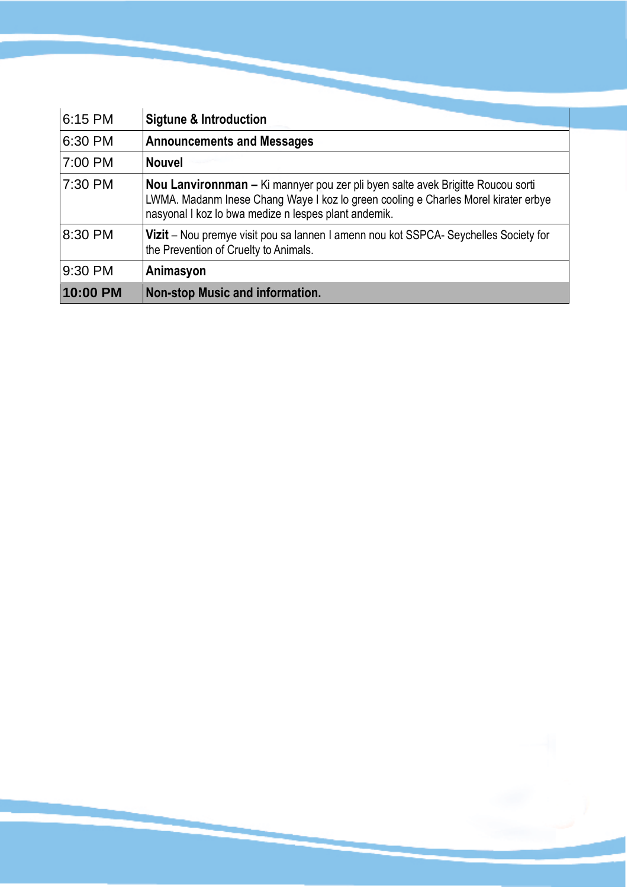| 6:15 PM  | <b>Sigtune &amp; Introduction</b>                                                                                                                                                                                             |
|----------|-------------------------------------------------------------------------------------------------------------------------------------------------------------------------------------------------------------------------------|
| 6:30 PM  | <b>Announcements and Messages</b>                                                                                                                                                                                             |
| 7:00 PM  | <b>Nouvel</b>                                                                                                                                                                                                                 |
| 7:30 PM  | Nou Lanvironnman - Ki mannyer pou zer pli byen salte avek Brigitte Roucou sorti<br>LWMA. Madanm Inese Chang Waye I koz lo green cooling e Charles Morel kirater erbye<br>nasyonal I koz lo bwa medize n lespes plant andemik. |
| 8:30 PM  | Vizit - Nou premye visit pou sa lannen I amenn nou kot SSPCA- Seychelles Society for<br>the Prevention of Cruelty to Animals.                                                                                                 |
| 9:30 PM  | Animasyon                                                                                                                                                                                                                     |
| 10:00 PM | <b>Non-stop Music and information.</b>                                                                                                                                                                                        |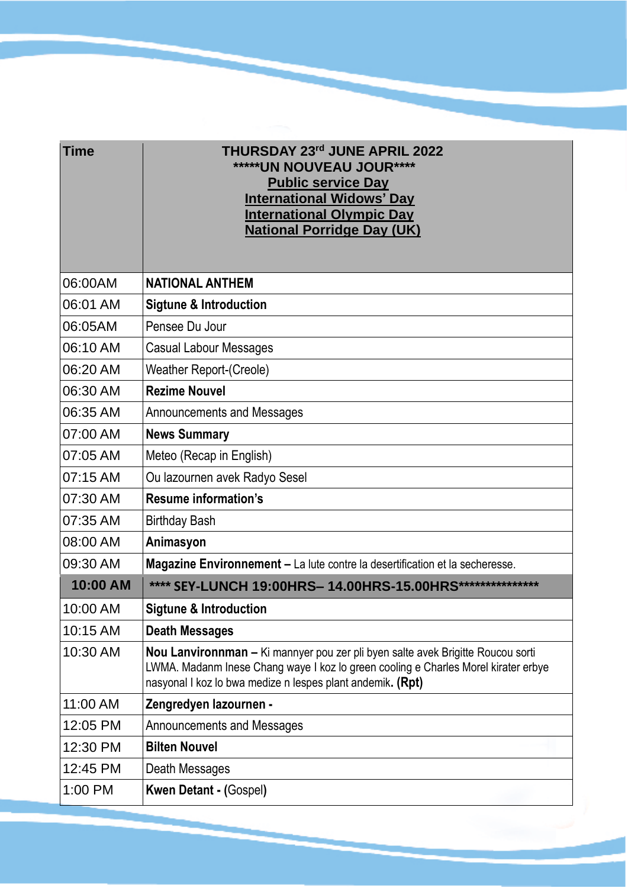| <b>Time</b> | THURSDAY 23rd JUNE APRIL 2022<br>*****UN NOUVEAU JOUR****<br><b>Public service Day</b><br><b>International Widows' Day</b><br><b>International Olympic Day</b><br><b>National Porridge Day (UK)</b>                                 |
|-------------|-------------------------------------------------------------------------------------------------------------------------------------------------------------------------------------------------------------------------------------|
| 06:00AM     | <b>NATIONAL ANTHEM</b>                                                                                                                                                                                                              |
| 06:01 AM    | <b>Sigtune &amp; Introduction</b>                                                                                                                                                                                                   |
| 06:05AM     | Pensee Du Jour                                                                                                                                                                                                                      |
| 06:10 AM    | <b>Casual Labour Messages</b>                                                                                                                                                                                                       |
| 06:20 AM    | Weather Report-(Creole)                                                                                                                                                                                                             |
| 06:30 AM    | <b>Rezime Nouvel</b>                                                                                                                                                                                                                |
| 06:35 AM    | <b>Announcements and Messages</b>                                                                                                                                                                                                   |
| 07:00 AM    | <b>News Summary</b>                                                                                                                                                                                                                 |
| 07:05 AM    | Meteo (Recap in English)                                                                                                                                                                                                            |
| 07:15 AM    | Ou lazournen avek Radyo Sesel                                                                                                                                                                                                       |
| 07:30 AM    | <b>Resume information's</b>                                                                                                                                                                                                         |
| 07:35 AM    | <b>Birthday Bash</b>                                                                                                                                                                                                                |
| 08:00 AM    | Animasyon                                                                                                                                                                                                                           |
| 09:30 AM    | Magazine Environnement - La lute contre la desertification et la secheresse.                                                                                                                                                        |
| 10:00 AM    | **** SEY-LUNCH 19:00HRS- 14.00HRS-15.00HRS****************                                                                                                                                                                          |
| 10:00 AM    | <b>Sigtune &amp; Introduction</b>                                                                                                                                                                                                   |
| 10:15 AM    | <b>Death Messages</b>                                                                                                                                                                                                               |
| 10:30 AM    | Nou Lanvironnman - Ki mannyer pou zer pli byen salte avek Brigitte Roucou sorti<br>LWMA. Madanm Inese Chang waye I koz lo green cooling e Charles Morel kirater erbye<br>nasyonal I koz lo bwa medize n lespes plant andemik. (Rpt) |
| 11:00 AM    | Zengredyen lazournen -                                                                                                                                                                                                              |
| 12:05 PM    | Announcements and Messages                                                                                                                                                                                                          |
| 12:30 PM    | <b>Bilten Nouvel</b>                                                                                                                                                                                                                |
| 12:45 PM    | Death Messages                                                                                                                                                                                                                      |
| 1:00 PM     | <b>Kwen Detant - (Gospel)</b>                                                                                                                                                                                                       |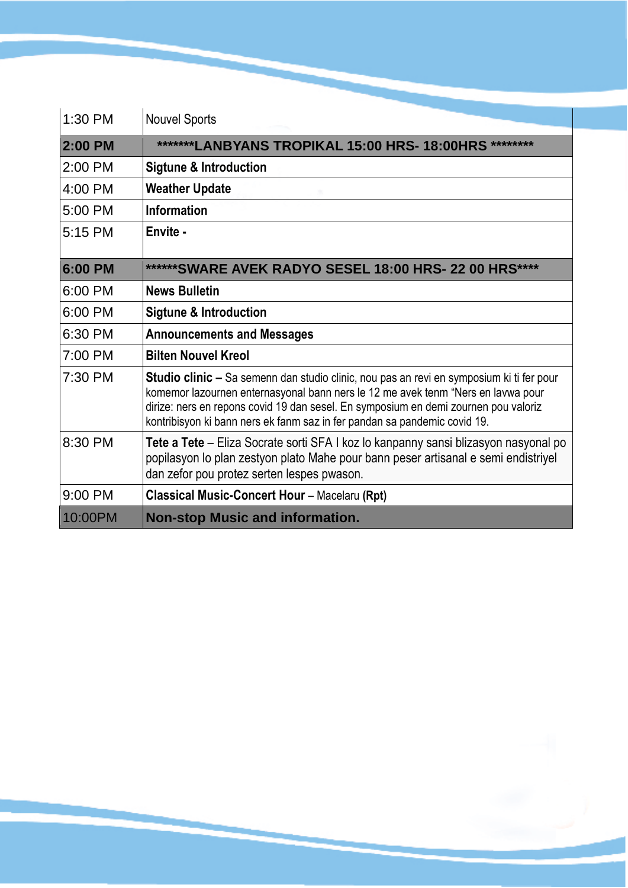| 1:30 PM | <b>Nouvel Sports</b>                                                                                                                                                                                                                                                                                                                                    |
|---------|---------------------------------------------------------------------------------------------------------------------------------------------------------------------------------------------------------------------------------------------------------------------------------------------------------------------------------------------------------|
| 2:00 PM | *******LANBYANS TROPIKAL 15:00 HRS- 18:00HRS ********                                                                                                                                                                                                                                                                                                   |
| 2:00 PM | <b>Sigtune &amp; Introduction</b>                                                                                                                                                                                                                                                                                                                       |
| 4:00 PM | <b>Weather Update</b>                                                                                                                                                                                                                                                                                                                                   |
| 5:00 PM | <b>Information</b>                                                                                                                                                                                                                                                                                                                                      |
| 5:15 PM | Envite -                                                                                                                                                                                                                                                                                                                                                |
| 6:00 PM | ******SWARE AVEK RADYO SESEL 18:00 HRS- 22 00 HRS****                                                                                                                                                                                                                                                                                                   |
| 6:00 PM | <b>News Bulletin</b>                                                                                                                                                                                                                                                                                                                                    |
| 6:00 PM | <b>Sigtune &amp; Introduction</b>                                                                                                                                                                                                                                                                                                                       |
| 6:30 PM | <b>Announcements and Messages</b>                                                                                                                                                                                                                                                                                                                       |
| 7:00 PM | <b>Bilten Nouvel Kreol</b>                                                                                                                                                                                                                                                                                                                              |
| 7:30 PM | <b>Studio clinic</b> – Sa semenn dan studio clinic, nou pas an revi en symposium ki ti fer pour<br>komemor lazournen enternasyonal bann ners le 12 me avek tenm "Ners en lavwa pour<br>dirize: ners en repons covid 19 dan sesel. En symposium en demi zournen pou valoriz<br>kontribisyon ki bann ners ek fanm saz in fer pandan sa pandemic covid 19. |
| 8:30 PM | Tete a Tete – Eliza Socrate sorti SFA I koz lo kanpanny sansi blizasyon nasyonal po<br>popilasyon lo plan zestyon plato Mahe pour bann peser artisanal e semi endistriyel<br>dan zefor pou protez serten lespes pwason.                                                                                                                                 |
| 9:00 PM | <b>Classical Music-Concert Hour</b> – Macelaru (Rpt)                                                                                                                                                                                                                                                                                                    |
| 10:00PM | <b>Non-stop Music and information.</b>                                                                                                                                                                                                                                                                                                                  |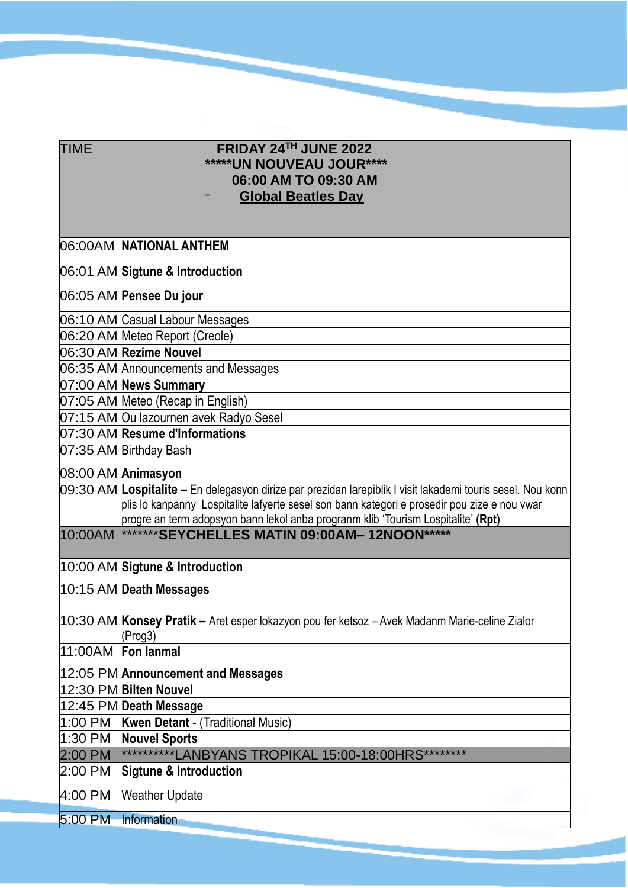| <b>TIME</b> | FRIDAY 24TH JUNE 2022<br>*****UN NOUVEAU JOUR****<br>06:00 AM TO 09:30 AM                                                                                                                                                                                                                        |
|-------------|--------------------------------------------------------------------------------------------------------------------------------------------------------------------------------------------------------------------------------------------------------------------------------------------------|
|             | <b>Global Beatles Day</b>                                                                                                                                                                                                                                                                        |
|             | 06:00AM NATIONAL ANTHEM                                                                                                                                                                                                                                                                          |
|             | 06:01 AM Sigtune & Introduction                                                                                                                                                                                                                                                                  |
|             | 06:05 AM Pensee Du jour                                                                                                                                                                                                                                                                          |
|             | 06:10 AM Casual Labour Messages                                                                                                                                                                                                                                                                  |
|             | 06:20 AM Meteo Report (Creole)                                                                                                                                                                                                                                                                   |
|             | 06:30 AM Rezime Nouvel                                                                                                                                                                                                                                                                           |
|             | 06:35 AM Announcements and Messages                                                                                                                                                                                                                                                              |
|             | 07:00 AM News Summary                                                                                                                                                                                                                                                                            |
|             | 07:05 AM Meteo (Recap in English)                                                                                                                                                                                                                                                                |
|             | 07:15 AM Ou lazournen avek Radyo Sesel                                                                                                                                                                                                                                                           |
|             | 07:30 AM Resume d'Informations                                                                                                                                                                                                                                                                   |
|             | 07:35 AM Birthday Bash                                                                                                                                                                                                                                                                           |
|             | 08:00 AM Animasyon                                                                                                                                                                                                                                                                               |
|             | 09:30 AM Lospitalite - En delegasyon dirize par prezidan larepiblik I visit lakademi touris sesel. Nou konn<br>plis lo kanpanny Lospitalite lafyerte sesel son bann kategori e prosedir pou zize e nou vwar<br>progre an term adopsyon bann lekol anba progranm klib 'Tourism Lospitalite' (Rpt) |
| 10:00AM     | <b><i><u><b>*******SEYCHELLES MATIN 09:00AM-12NOON*****</b></u></i></b>                                                                                                                                                                                                                          |
|             | 10:00 AM Sigtune & Introduction                                                                                                                                                                                                                                                                  |
|             | 10:15 AM Death Messages                                                                                                                                                                                                                                                                          |
|             | 10:30 AM Konsey Pratik - Aret esper lokazyon pou fer ketsoz - Avek Madanm Marie-celine Zialor<br>(Prog3)                                                                                                                                                                                         |
|             | 11:00AM Fon lanmal                                                                                                                                                                                                                                                                               |
|             | 12:05 PM Announcement and Messages                                                                                                                                                                                                                                                               |
|             | 12:30 PM Bilten Nouvel                                                                                                                                                                                                                                                                           |
|             | 12:45 PM Death Message                                                                                                                                                                                                                                                                           |
|             | 1:00 PM Kwen Detant - (Traditional Music)                                                                                                                                                                                                                                                        |
| 1:30 PM     | <b>Nouvel Sports</b>                                                                                                                                                                                                                                                                             |
| 2:00 PM     | **********LANBYANS TROPIKAL 15:00-18:00HRS*********                                                                                                                                                                                                                                              |
| 2:00 PM     | <b>Sigtune &amp; Introduction</b>                                                                                                                                                                                                                                                                |
| 4:00 PM     | <b>Weather Update</b>                                                                                                                                                                                                                                                                            |
| 5:00 PM     | Information                                                                                                                                                                                                                                                                                      |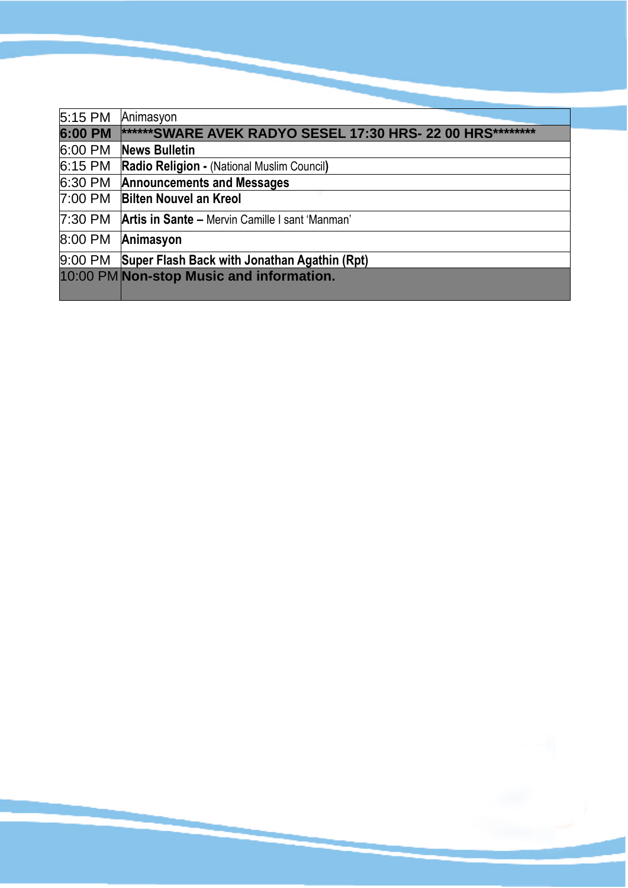| Animasyon                                                  |
|------------------------------------------------------------|
| ******SWARE AVEK RADYO SESEL 17:30 HRS- 22 00 HRS********* |
| <b>News Bulletin</b>                                       |
| Radio Religion - (National Muslim Council)                 |
| <b>Announcements and Messages</b>                          |
| 7:00 PM Bilten Nouvel an Kreol                             |
| 7:30 PM Artis in Sante - Mervin Camille I sant 'Manman'    |
| Animasyon                                                  |
| 9:00 PM Super Flash Back with Jonathan Agathin (Rpt)       |
| 10:00 PM Non-stop Music and information.                   |
|                                                            |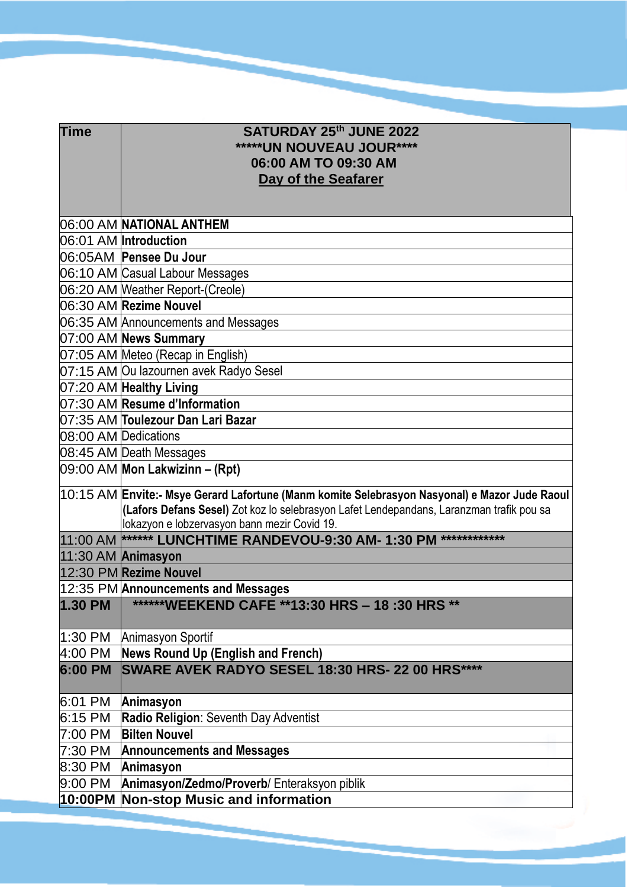| <b>Time</b>          | SATURDAY 25th JUNE 2022<br>*****UN NOUVEAU JOUR****<br>06:00 AM TO 09:30 AM<br>Day of the Seafarer                                                                                                                                        |
|----------------------|-------------------------------------------------------------------------------------------------------------------------------------------------------------------------------------------------------------------------------------------|
|                      | 06:00 AM NATIONAL ANTHEM                                                                                                                                                                                                                  |
|                      | 06:01 AM Introduction                                                                                                                                                                                                                     |
|                      | 06:05AM Pensee Du Jour                                                                                                                                                                                                                    |
|                      | 06:10 AM Casual Labour Messages                                                                                                                                                                                                           |
|                      | 06:20 AM Weather Report-(Creole)                                                                                                                                                                                                          |
|                      | 06:30 AM Rezime Nouvel                                                                                                                                                                                                                    |
|                      | 06:35 AM Announcements and Messages                                                                                                                                                                                                       |
|                      | 07:00 AM News Summary                                                                                                                                                                                                                     |
|                      | 07:05 AM Meteo (Recap in English)                                                                                                                                                                                                         |
|                      | 07:15 AM Ou lazournen avek Radyo Sesel                                                                                                                                                                                                    |
|                      | 07:20 AM Healthy Living                                                                                                                                                                                                                   |
|                      | 07:30 AM Resume d'Information                                                                                                                                                                                                             |
|                      | 07:35 AM Toulezour Dan Lari Bazar                                                                                                                                                                                                         |
| 08:00 AM Dedications |                                                                                                                                                                                                                                           |
|                      | 08:45 AM Death Messages                                                                                                                                                                                                                   |
|                      | 09:00 AM Mon Lakwizinn - (Rpt)                                                                                                                                                                                                            |
|                      | 10:15 AM Envite:- Msye Gerard Lafortune (Manm komite Selebrasyon Nasyonal) e Mazor Jude Raoul<br>(Lafors Defans Sesel) Zot koz lo selebrasyon Lafet Lendepandans, Laranzman trafik pou sa<br>lokazyon e lobzervasyon bann mezir Covid 19. |
|                      | 11:00 AM ****** LUNCHTIME RANDEVOU-9:30 AM- 1:30 PM *************                                                                                                                                                                         |
| 11:30 AM Animasyon   |                                                                                                                                                                                                                                           |
|                      | 12:30 PM Rezime Nouvel                                                                                                                                                                                                                    |
|                      | 12:35 PM Announcements and Messages                                                                                                                                                                                                       |
| <b>1.30 PM</b>       | ******WEEKEND CAFE **13:30 HRS - 18:30 HRS **                                                                                                                                                                                             |
|                      | 1:30 PM Animasyon Sportif                                                                                                                                                                                                                 |
|                      | $4:00$ PM News Round Up (English and French)                                                                                                                                                                                              |
|                      | 6:00 PM SWARE AVEK RADYO SESEL 18:30 HRS- 22 00 HRS****                                                                                                                                                                                   |
| 6:01 PM              | Animasyon                                                                                                                                                                                                                                 |
| $6:15$ PM            | Radio Religion: Seventh Day Adventist                                                                                                                                                                                                     |
| 7:00 PM              | <b>Bilten Nouvel</b>                                                                                                                                                                                                                      |
| 7:30 PM              | <b>Announcements and Messages</b>                                                                                                                                                                                                         |
|                      | 8:30 PM Animasyon                                                                                                                                                                                                                         |
| 9:00 PM              | Animasyon/Zedmo/Proverb/ Enteraksyon piblik                                                                                                                                                                                               |
|                      | 10:00PM Non-stop Music and information                                                                                                                                                                                                    |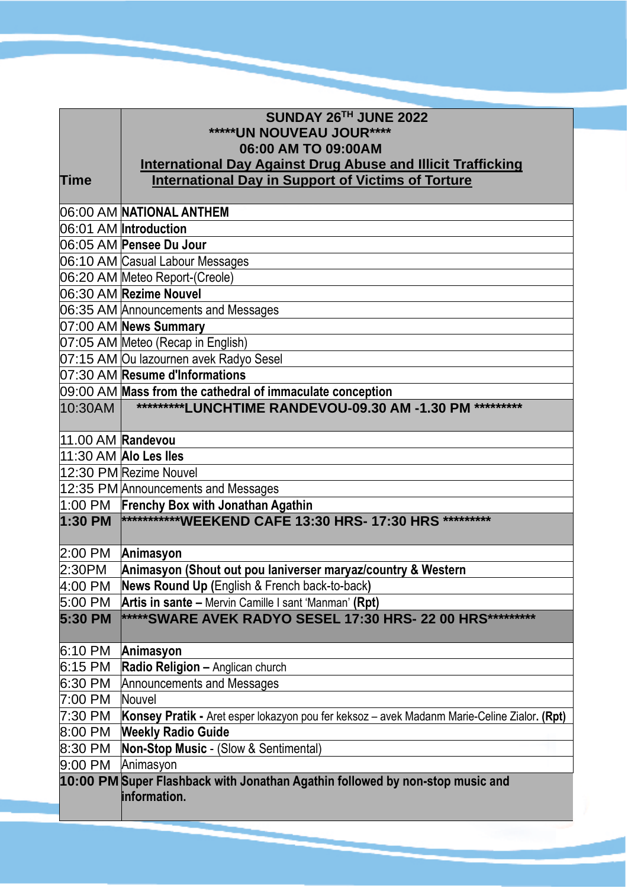|                   | SUNDAY 26TH JUNE 2022                                                                       |
|-------------------|---------------------------------------------------------------------------------------------|
|                   | *****UN NOUVEAU JOUR****                                                                    |
|                   | 06:00 AM TO 09:00AM                                                                         |
|                   |                                                                                             |
|                   | <b>International Day Against Drug Abuse and Illicit Trafficking</b>                         |
| <b>Time</b>       | <b>International Day in Support of Victims of Torture</b>                                   |
|                   | 06:00 AM NATIONAL ANTHEM                                                                    |
|                   | 06:01 AM Introduction                                                                       |
|                   | 06:05 AM Pensee Du Jour                                                                     |
|                   | 06:10 AM Casual Labour Messages                                                             |
|                   | 06:20 AM Meteo Report-(Creole)                                                              |
|                   | 06:30 AM Rezime Nouvel                                                                      |
|                   | 06:35 AM Announcements and Messages                                                         |
|                   | 07:00 AM News Summary                                                                       |
|                   | 07:05 AM Meteo (Recap in English)                                                           |
|                   | 07:15 AM Ou lazournen avek Radyo Sesel                                                      |
|                   | 07:30 AM Resume d'Informations                                                              |
|                   | 09:00 AM Mass from the cathedral of immaculate conception                                   |
| 10:30AM           | *********LUNCHTIME RANDEVOU-09.30 AM -1.30 PM *********                                     |
| 11.00 AM Randevou |                                                                                             |
|                   | 11:30 AM Alo Les lles                                                                       |
|                   | 12:30 PM Rezime Nouvel                                                                      |
|                   | 12:35 PM Announcements and Messages                                                         |
|                   | 1:00 PM Frenchy Box with Jonathan Agathin                                                   |
| 1:30 PM           | ***********WEEKEND CAFE 13:30 HRS- 17:30 HRS *********                                      |
|                   |                                                                                             |
| 2:00 PM           | Animasyon                                                                                   |
| 2:30PM            | Animasyon (Shout out pou laniverser maryaz/country & Western                                |
| 4:00 PM           | News Round Up (English & French back-to-back)                                               |
| 5:00 PM           | Artis in sante - Mervin Camille I sant 'Manman' (Rpt)                                       |
| 5:30 PM           | *****SWARE AVEK RADYO SESEL 17:30 HRS- 22 00 HRS**********                                  |
| 6:10 PM           | Animasyon                                                                                   |
| 6:15 PM           | Radio Religion - Anglican church                                                            |
| 6:30 PM           | Announcements and Messages                                                                  |
| 7:00 PM           | Nouvel                                                                                      |
| 7:30 PM           | Konsey Pratik - Aret esper lokazyon pou fer keksoz – avek Madanm Marie-Celine Zialor. (Rpt) |
| 8:00 PM           | <b>Weekly Radio Guide</b>                                                                   |
| 8:30 PM           | <b>Non-Stop Music</b> - (Slow & Sentimental)                                                |
| 9:00 PM           | Animasyon                                                                                   |
|                   | 10:00 PM Super Flashback with Jonathan Agathin followed by non-stop music and               |
|                   | information.                                                                                |